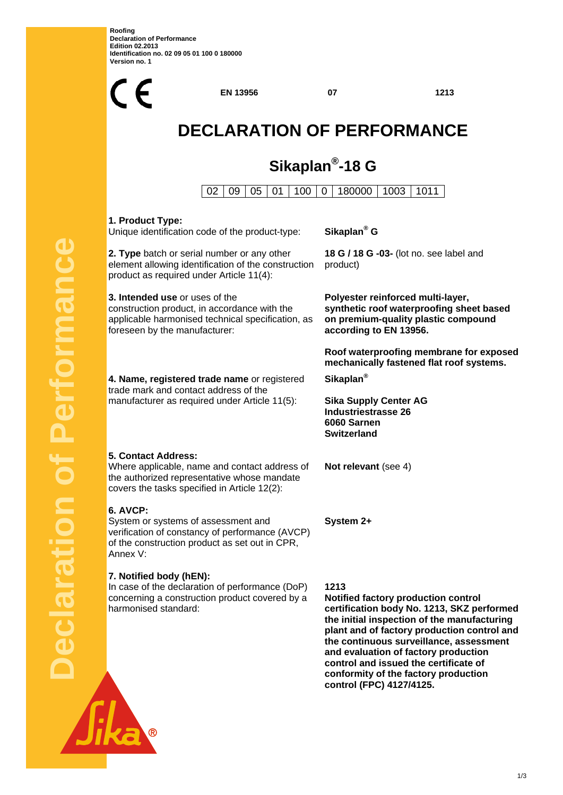**Roofing Declaration of Performance Edition 02.2013 Identification no. 02 09 05 01 100 0 180000 Version no. 1** 



**Notified factory production control certification body No. 1213, SKZ performed the initial inspection of the manufacturing plant and of factory production control and the continuous surveillance, assessment and evaluation of factory production control and issued the certificate of conformity of the factory production control (FPC) 4127/4125.**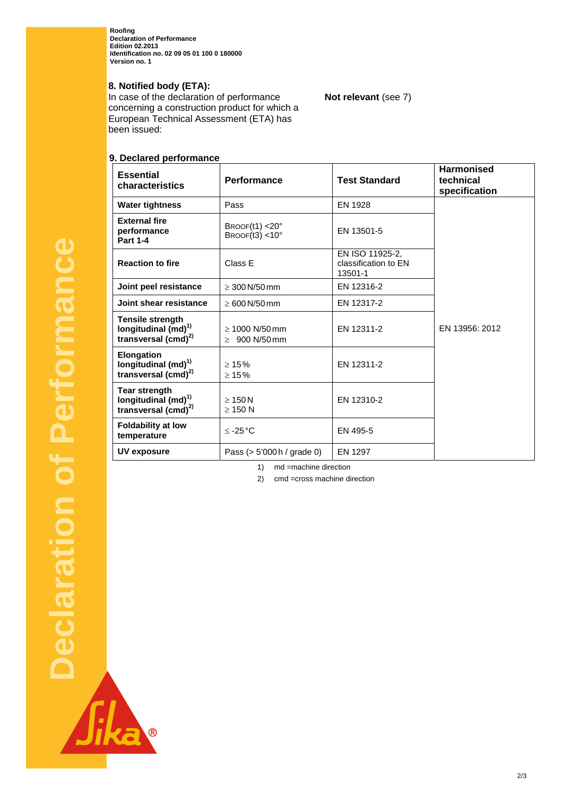**Roofing Declaration of Performance Edition 02.2013 Identification no. 02 09 05 01 100 0 180000 Version no. 1** 

# **8. Notified body (ETA):**

In case of the declaration of performance concerning a construction product for which a European Technical Assessment (ETA) has been issued:

# **9. Declared performance**

| $5001$ $0001$ $0011$<br><b>Essential</b><br>characteristics                                   | <b>Performance</b>                        | <b>Test Standard</b>                               | <b>Harmonised</b><br>technical<br>specification |
|-----------------------------------------------------------------------------------------------|-------------------------------------------|----------------------------------------------------|-------------------------------------------------|
| <b>Water tightness</b>                                                                        | Pass                                      | EN 1928                                            |                                                 |
| <b>External fire</b><br>performance<br><b>Part 1-4</b>                                        | BROOF(11) < 20°<br>BROOF $(13)$ < 10°     | EN 13501-5                                         |                                                 |
| <b>Reaction to fire</b>                                                                       | Class E                                   | EN ISO 11925-2.<br>classification to EN<br>13501-1 |                                                 |
| Joint peel resistance                                                                         | $\geq 300$ N/50 mm                        | EN 12316-2                                         |                                                 |
| Joint shear resistance                                                                        | $\geq 600$ N/50 mm                        | EN 12317-2                                         |                                                 |
| <b>Tensile strength</b><br>longitudinal (md) <sup>1)</sup><br>transversal (cmd) <sup>2)</sup> | $\geq 1000$ N/50 mm<br>$\geq 900$ N/50 mm | EN 12311-2                                         | EN 13956: 2012                                  |
| Elongation<br>longitudinal (md) <sup>1)</sup><br>transversal (cmd) <sup>2)</sup>              | $\geq 15\%$<br>$\geq 15\%$                | EN 12311-2                                         |                                                 |
| <b>Tear strength</b><br>longitudinal $(md)^{1}$<br>transversal (cmd) <sup>2)</sup>            | $\geq 150$ N<br>$>$ 150 N                 | EN 12310-2                                         |                                                 |
| <b>Foldability at low</b><br>temperature                                                      | $≤ -25 °C$                                | EN 495-5                                           |                                                 |
| UV exposure                                                                                   | Pass $(> 5'000 h /$ grade 0)              | EN 1297                                            |                                                 |

**Not relevant** (see 7)

1) md =machine direction

2) cmd =cross machine direction

Sika

B